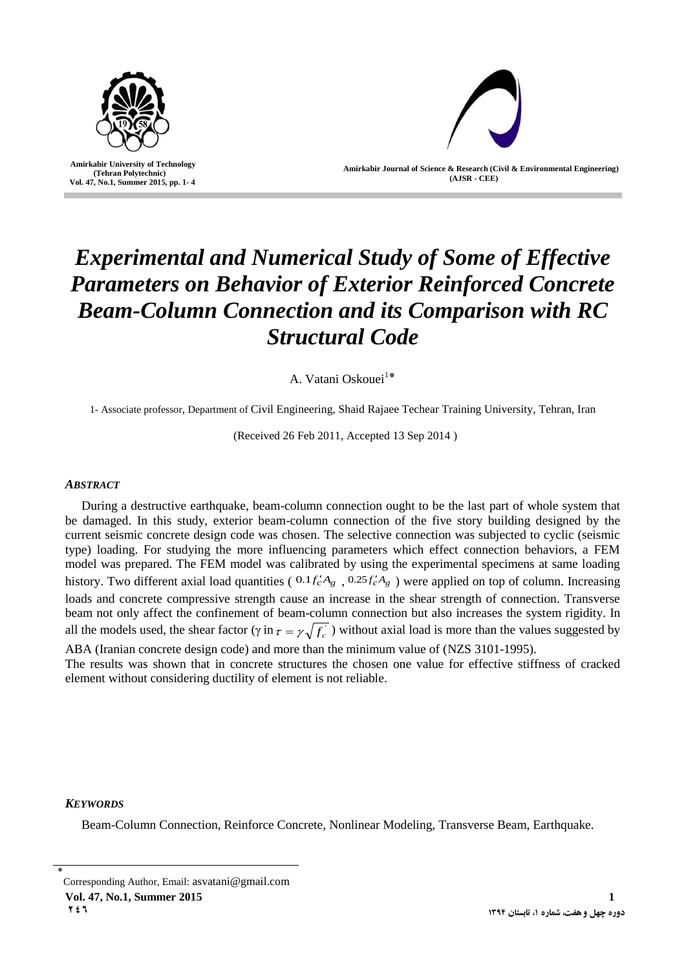

 **Amirkabir University of Technology (Tehran Polytechnic) Vol. 47, No.1, Summer 2015, pp. 1- 4**

l



**Amirkabir Journal of Science & Research (Civil & Environmental Engineering) (AJSR - CEE)**

# *Experimental and Numerical Study of Some of Effective Parameters on Behavior of Exterior Reinforced Concrete Beam-Column Connection and its Comparison with RC Structural Code*

A. Vatani Oskouei<sup>1\*</sup>

1- Associate professor, Department of Civil Engineering, Shaid Rajaee Techear Training University, Tehran, Iran

(Received 26 Feb 2011, Accepted 13 Sep 2014 )

## *ABSTRACT*

During a destructive earthquake, beam-column connection ought to be the last part of whole system that be damaged. In this study, exterior beam-column connection of the five story building designed by the current seismic concrete design code was chosen. The selective connection was subjected to cyclic (seismic type) loading. For studying the more influencing parameters which effect connection behaviors, a FEM model was prepared. The FEM model was calibrated by using the experimental specimens at same loading history. Two different axial load quantities ( $0.1f'_cA_g$ ,  $0.25f'_cA_g$ ) were applied on top of column. Increasing loads and concrete compressive strength cause an increase in the shear strength of connection. Transverse beam not only affect the confinement of beam-column connection but also increases the system rigidity. In all the models used, the shear factor ( $\gamma$  in  $\tau = \gamma \sqrt{f_c}$ ) without axial load is more than the values suggested by ABA (Iranian concrete design code) and more than the minimum value of (NZS 3101-1995).

The results was shown that in concrete structures the chosen one value for effective stiffness of cracked element without considering ductility of element is not reliable.

# *KEYWORDS*

Beam-Column Connection, Reinforce Concrete, Nonlinear Modeling, Transverse Beam, Earthquake.

**Vol. 47, No.1, Summer 2015** 1

<sup>٭</sup> Corresponding Author, Email: asvatani@gmail.com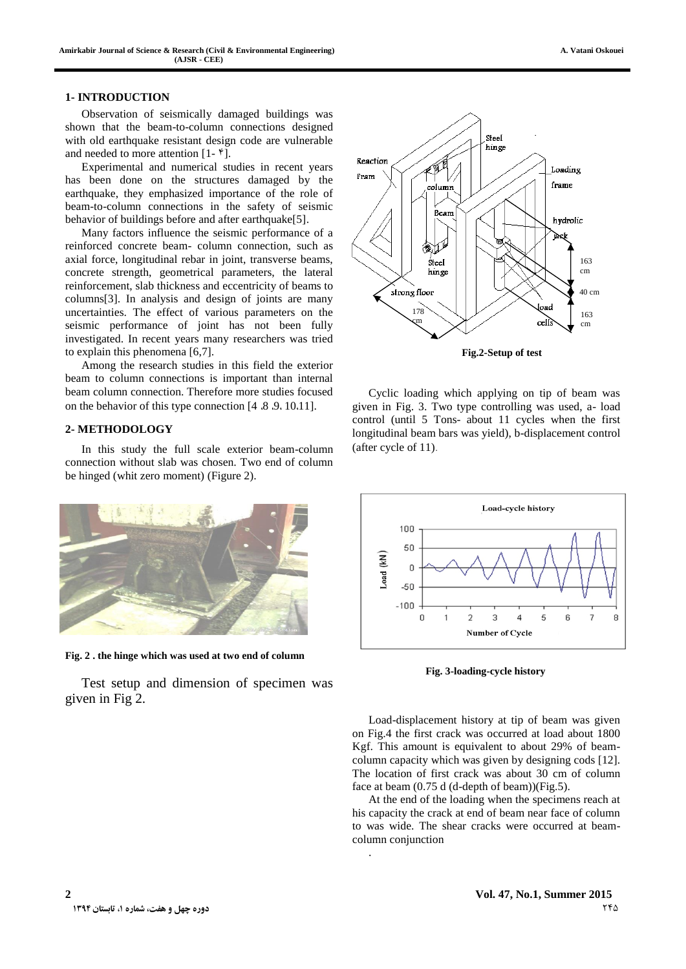Observation of seismically damaged buildings was shown that the beam-to-column connections designed with old earthquake resistant design code are vulnerable and needed to more attention  $[1-\mathfrak{f}].$ 

Experimental and numerical studies in recent years has been done on the structures damaged by the earthquake, they emphasized importance of the role of beam-to-column connections in the safety of seismic behavior of buildings before and after earthquake[5].

Many factors influence the seismic performance of a reinforced concrete beam- column connection, such as axial force, longitudinal rebar in joint, transverse beams, concrete strength, geometrical parameters, the lateral reinforcement, slab thickness and eccentricity of beams to columns[3]. In analysis and design of joints are many uncertainties. The effect of various parameters on the seismic performance of joint has not been fully investigated. In recent years many researchers was tried to explain this phenomena [6,7].

Among the research studies in this field the exterior beam to column connections is important than internal beam column connection. Therefore more studies focused on the behavior of this type connection [4  $\delta$  8 .4 .10.11].

#### **2- METHODOLOGY**

In this study the full scale exterior beam-column connection without slab was chosen. Two end of column be hinged (whit zero moment) (Figure 2).



**Fig. 2 . the hinge which was used at two end of column**

Test setup and dimension of specimen was given in Fig 2.



Cyclic loading which applying on tip of beam was given in Fig. 3. Two type controlling was used, a- load control (until 5 Tons- about 11 cycles when the first longitudinal beam bars was yield), b-displacement control (after cycle of 11).



**Fig. 3-loading-cycle history**

Load-displacement history at tip of beam was given on Fig.4 the first crack was occurred at load about 1800 Kgf. This amount is equivalent to about 29% of beamcolumn capacity which was given by designing cods [12]. The location of first crack was about 30 cm of column face at beam (0.75 d (d-depth of beam))(Fig.5).

At the end of the loading when the specimens reach at his capacity the crack at end of beam near face of column to was wide. The shear cracks were occurred at beamcolumn conjunction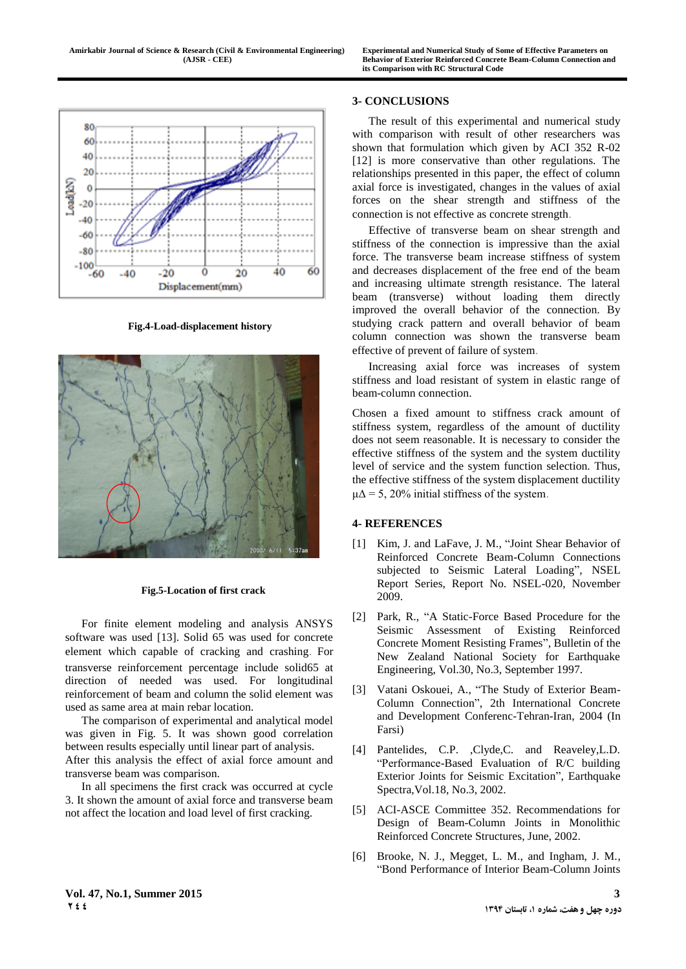

**Fig.4-Load-displacement history**



**Fig.5-Location of first crack**

For finite element modeling and analysis ANSYS software was used [13]. Solid 65 was used for concrete element which capable of cracking and crashing. For transverse reinforcement percentage include solid65 at direction of needed was used. For longitudinal reinforcement of beam and column the solid element was used as same area at main rebar location.

The comparison of experimental and analytical model was given in Fig. 5. It was shown good correlation between results especially until linear part of analysis. After this analysis the effect of axial force amount and transverse beam was comparison.

In all specimens the first crack was occurred at cycle 3. It shown the amount of axial force and transverse beam not affect the location and load level of first cracking.

### **3- CONCLUSIONS**

The result of this experimental and numerical study with comparison with result of other researchers was shown that formulation which given by ACI 352 R-02 [12] is more conservative than other regulations. The relationships presented in this paper, the effect of column axial force is investigated, changes in the values of axial forces on the shear strength and stiffness of the connection is not effective as concrete strength.

Effective of transverse beam on shear strength and stiffness of the connection is impressive than the axial force. The transverse beam increase stiffness of system and decreases displacement of the free end of the beam and increasing ultimate strength resistance. The lateral beam (transverse) without loading them directly improved the overall behavior of the connection. By studying crack pattern and overall behavior of beam column connection was shown the transverse beam effective of prevent of failure of system.

Increasing axial force was increases of system stiffness and load resistant of system in elastic range of beam-column connection.

Chosen a fixed amount to stiffness crack amount of stiffness system, regardless of the amount of ductility does not seem reasonable. It is necessary to consider the effective stiffness of the system and the system ductility level of service and the system function selection. Thus, the effective stiffness of the system displacement ductility  $\mu\Delta$  = 5, 20% initial stiffness of the system.

## **4- REFERENCES**

- [1] Kim, J. and LaFave, J. M., "Joint Shear Behavior of Reinforced Concrete Beam-Column Connections subjected to Seismic Lateral Loading", NSEL Report Series, Report No. NSEL-020, November 2009.
- [2] Park, R., "A Static-Force Based Procedure for the Seismic Assessment of Existing Reinforced Concrete Moment Resisting Frames", Bulletin of the New Zealand National Society for Earthquake Engineering, Vol.30, No.3, September 1997.
- [3] Vatani Oskouei, A., "The Study of Exterior Beam-Column Connection", 2th International Concrete and Development Conferenc-Tehran-Iran, 2004 (In Farsi)
- [4] Pantelides, C.P. ,Clyde,C. and Reaveley,L.D. "Performance-Based Evaluation of R/C building Exterior Joints for Seismic Excitation", Earthquake Spectra,Vol.18, No.3, 2002.
- [5] ACI-ASCE Committee 352. Recommendations for Design of Beam-Column Joints in Monolithic Reinforced Concrete Structures, June, 2002.
- [6] Brooke, N. J., Megget, L. M., and Ingham, J. M., "Bond Performance of Interior Beam-Column Joints